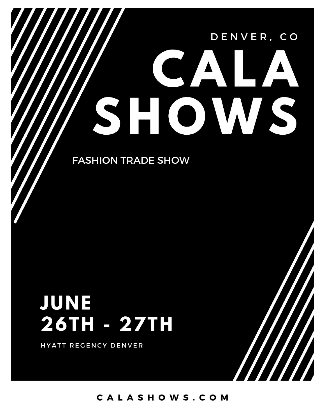# DENVER, CO  $\bullet$  )

**FASHION TRADE SHOW** 

# JUNE 26TH - 27TH

HYATT REGENCY DENVER

CALASHOWS.COM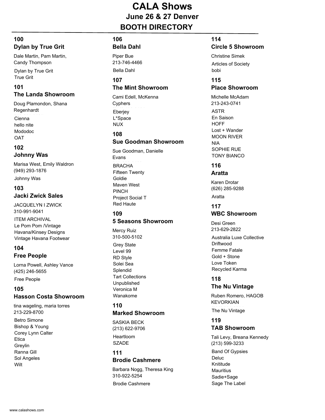# **CALA Shows June 26 & 27 Denver BOOTH DIRECTORY**

# **100 Dylan by True Grit**

Dale Martin, Pam Martin, Candy Thompson

Dylan by True Grit True Grit

# **101**

# **The Landa Showroom**

Doug Plamondon, Shana Regenhardt

Cienna hello nite Mododoc **OAT** 

### **102 Johnny Was**

Marisa West, Emily Waldron (949) 293-1876

Johnny Was

#### **103 Jacki Zwick Sales**

JACQUELYN I ZWICK 310-991-9041

ITEM ARCHIVAL Le Pom Pom /Vintage Havana/Kinsey Designs Vintage Havana Footwear

#### **104 Free People**

Lorna Powell, Ashley Vance (425) 246-5655

Free People

# **105 Hasson Costa Showroom**

Betro Simone Bishop & Young tina wageling, maria torres 213-229-8700

Corey Lynn Calter **Etica Grevlin** Ranna Gill Sol Angeles Wilt

# **106**

# **Bella Dahl**

Bella Dahl Piper Bue 213-746-4466

#### **107 The Mint Showroom**

**Eberjey** L\*Space NUX Cami Edell, McKenna **Cyphers** 

# **108**

#### **Sue Goodman Showroom**

**BRACHA** Fifteen Twenty Goldie Maven West PINCH Project Social T Red Haute Sue Goodman, Danielle Evans

# **109**

# **5 Seasons Showroom**

Grey State Level 99 RD Style Solei Sea Splendid Tart Collections Unpublished Veronica M Wanakome Mercy Ruiz 310-500-5102

#### **110 Marked Showroom**

Heartloom SZADE SASKIA BECK (213) 622-9706

#### **111 Brodie Cashmere**

Brodie Cashmere Barbara Nogg, Theresa King 310-922-5254

#### **114**

# **Circle 5 Showroom**

Articles of Society bobi Christine Simek

# **115**

#### **Place Showroom**

ASTR En Saison **HOFF** Lost + Wander MOON RIVER NIA SOPHIE RUE TONY BIANCO Michelle McAdam 213-243-0741

# **116**

**Aratta**

Karen Drotar (626) 285-9288

Aratta

# **117**

# **WBC Showroom**

Desi Green 213-629-2822

Australia Luxe Collective **Driftwood** Femme Fatale Gold + Stone Love Token Recycled Karma

# **118**

**The Nu Vintage**

The Nu Vintage Ruben Romero, HAGOB **KEVORKIAN** 

# **119 TAB Showroom**

Band Of Gypsies Deluc Knititude **Mauritius** Sadie+Sage Sage The Label Tali Levy, Breana Kennedy (213) 599-3233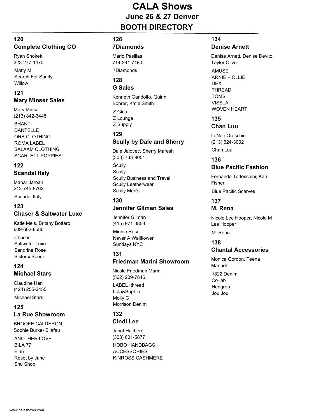# **CALA Shows June 26 & 27 Denver BOOTH DIRECTORY**

# **120 Complete Clothing CO**

Ryan Shokett 323-277-1470

Matty M Search For Sanity Willow

# **121 Mary Minser Sales**

**BHANTI** DANTELLE ORB CLOTHING ROMA LABEL SALAAM CLOTHING SCARLETT POPPIES Mary Minser (213) 842-3445

#### **122 Scandal Italy**

Manar Jarban 213-745-8762

#### Scandal Italy

# **123 Chaser & Saltwater Luxe**

Katie Meis, Britany Bottaro 609-602-8586

Chaser Saltwater Luxe Sandrine Rose Sister x Soeur

# **124 Michael Stars**

Michael Stars Claudine Han (424) 255-2455

#### **125 La Rue Showroom**

BROOKE CALDERON, Sophie Burke- Silafau

ANOTHER LOVE BILA 77 Elan Reset by Jane Shu Shop

# **126**

# **7Diamonds**

7Diamonds Mario Pasillas 714-241-7190

#### **128 G Sales**

Z Girls Kenneth Gandolfo, Quinn Bohrer, Katie Smith

Z Lounge Z Supply

#### **129 Scully by Dale and Sherry**

Dale Jalovec, Sherry Maresh (303) 733-9051

**Scully Scully** Scully Business and Travel Scully Leatherwear Scully Men's

#### **130**

# **Jennifer Gilman Sales**

Minnie Rose Never A Wallflower Sundays NYC Jennifer Gilman (415) 971-3853

#### **131 Friedman Marini Showroom**

LABEL+thread Lola&Sophie Molly G Morrison Denim Nicole Friedman Marini (562) 209-7846

#### **132 Cindi Lee**

HOBO HANDBAGS + **ACCESSORIES** KINROSS CASHMERE Janet Hultberg (303) 601-5877

# **134**

**Denise Arnett**

AMUSE ARNIE + OLLIE DEX THREAD TOMS VISSLA WOVEN HEART Denise Arnett, Denise Devito, Taylor Oliver

#### **135 Chan Luu**

Chan Luu LaNae Oraschin (213) 624-3002

# **136 Blue Pacific Fashion**

Fernando Todeschini, Kari Fisher

**Blue Pacific Scarves** 

#### **137 M. Rena**

M. Rena Nicole Lee Hooper, Nicole M Lee Hooper

# **138**

# **Chantal Accessories**

1822 Denim Co-lab Hedgren Jou Jou Monica Gordon, Teena Manuel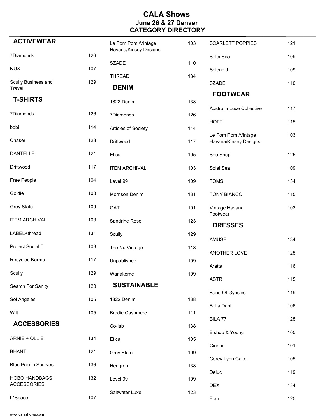| <b>ACTIVEWEAR</b>           |     | Le Pom Pom /Vintage<br>Havana/Kinsey Designs | 103 | <b>SCARLETT POPPIES</b>                      | 121 |
|-----------------------------|-----|----------------------------------------------|-----|----------------------------------------------|-----|
| 7Diamonds                   | 126 |                                              |     | Solei Sea                                    | 109 |
| <b>NUX</b>                  | 107 | <b>SZADE</b>                                 | 110 | Splendid                                     | 109 |
| Scully Business and         | 129 | <b>THREAD</b>                                | 134 | <b>SZADE</b>                                 | 110 |
| Travel                      |     | <b>DENIM</b>                                 |     | <b>FOOTWEAR</b>                              |     |
| <b>T-SHIRTS</b>             |     | 1822 Denim                                   | 138 | Australia Luxe Collective                    | 117 |
| 7Diamonds                   | 126 | 7Diamonds                                    | 126 |                                              |     |
| bobi                        | 114 | Articles of Society                          | 114 | <b>HOFF</b>                                  | 115 |
| Chaser                      | 123 | Driftwood                                    | 117 | Le Pom Pom /Vintage<br>Havana/Kinsey Designs | 103 |
| <b>DANTELLE</b>             | 121 | Etica                                        | 105 | Shu Shop                                     | 125 |
| Driftwood                   | 117 | <b>ITEM ARCHIVAL</b>                         | 103 | Solei Sea                                    | 109 |
| Free People                 | 104 | Level 99                                     | 109 | <b>TOMS</b>                                  | 134 |
| Goldie                      | 108 | Morrison Denim                               | 131 | <b>TONY BIANCO</b>                           | 115 |
| <b>Grey State</b>           | 109 | OAT                                          | 101 | Vintage Havana                               | 103 |
| <b>ITEM ARCHIVAL</b>        | 103 | Sandrine Rose                                | 123 | Footwear<br><b>DRESSES</b>                   |     |
| LABEL+thread                | 131 | Scully                                       | 129 | AMUSE                                        | 134 |
| Project Social T            | 108 | The Nu Vintage                               | 118 | ANOTHER LOVE                                 | 125 |
| Recycled Karma              | 117 | Unpublished                                  | 109 | Aratta                                       |     |
| Scully                      | 129 | Wanakome                                     | 109 |                                              | 116 |
| Search For Sanity           | 120 | <b>SUSTAINABLE</b>                           |     | <b>ASTR</b>                                  | 115 |
|                             |     |                                              |     | <b>Band Of Gypsies</b>                       | 119 |
| Sol Angeles                 | 105 | 1822 Denim                                   | 138 | Bella Dahl                                   | 106 |
| Wilt                        | 105 | <b>Brodie Cashmere</b>                       | 111 | BILA 77                                      | 125 |
| <b>ACCESSORIES</b>          |     | Co-lab                                       | 138 | Bishop & Young                               | 105 |
| ARNIE + OLLIE               | 134 | Etica                                        | 105 |                                              |     |
| <b>BHANTI</b>               | 121 | <b>Grey State</b>                            | 109 | Cienna                                       | 101 |
| <b>Blue Pacific Scarves</b> | 136 | Hedgren                                      | 138 | Corey Lynn Calter                            | 105 |
| HOBO HANDBAGS +             | 132 |                                              |     | Deluc                                        | 119 |
| <b>ACCESSORIES</b>          |     | Level 99                                     | 109 | <b>DEX</b>                                   | 134 |
| L*Space                     | 107 | Saltwater Luxe                               | 123 | Elan                                         | 125 |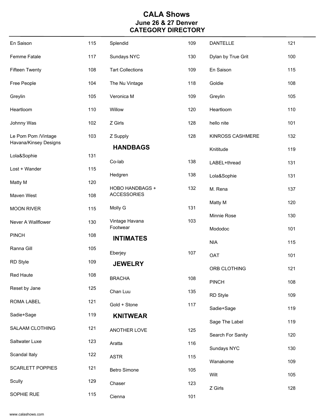| En Saison               | 115 | Splendid                   | 109 | <b>DANTELLE</b>    | 121 |
|-------------------------|-----|----------------------------|-----|--------------------|-----|
| Femme Fatale            | 117 | Sundays NYC                | 130 | Dylan by True Grit | 100 |
| <b>Fifteen Twenty</b>   | 108 | <b>Tart Collections</b>    | 109 | En Saison          | 115 |
| Free People             | 104 | The Nu Vintage             | 118 | Goldie             | 108 |
| Greylin                 | 105 | Veronica M                 | 109 | Greylin            | 105 |
| Heartloom               | 110 | Willow                     | 120 | Heartloom          | 110 |
| Johnny Was              | 102 | Z Girls                    | 128 | hello nite         | 101 |
| Le Pom Pom /Vintage     | 103 | Z Supply                   | 128 | KINROSS CASHMERE   | 132 |
| Havana/Kinsey Designs   |     | <b>HANDBAGS</b>            |     | Knititude          | 119 |
| Lola&Sophie             | 131 | Co-lab                     | 138 | LABEL+thread       | 131 |
| Lost + Wander           | 115 | Hedgren                    | 138 | Lola&Sophie        | 131 |
| Matty M                 | 120 | HOBO HANDBAGS +            | 132 | M. Rena            | 137 |
| Maven West              | 108 | <b>ACCESSORIES</b>         |     | Matty M            | 120 |
| <b>MOON RIVER</b>       | 115 | Molly G                    | 131 | Minnie Rose        | 130 |
| Never A Wallflower      | 130 | Vintage Havana<br>Footwear | 103 | Mododoc            | 101 |
| <b>PINCH</b>            | 108 | <b>INTIMATES</b>           |     | <b>NIA</b>         | 115 |
| Ranna Gill              | 105 | Eberjey                    | 107 | <b>OAT</b>         | 101 |
| <b>RD Style</b>         | 109 | <b>JEWELRY</b>             |     |                    |     |
| Red Haute               | 108 | <b>BRACHA</b>              | 108 | ORB CLOTHING       | 121 |
| Reset by Jane           | 125 | Chan Luu                   | 135 | <b>PINCH</b>       | 108 |
| <b>ROMA LABEL</b>       | 121 | Gold + Stone               | 117 | RD Style           | 109 |
| Sadie+Sage              | 119 | <b>KNITWEAR</b>            |     | Sadie+Sage         | 119 |
| SALAAM CLOTHING         | 121 | ANOTHER LOVE               | 125 | Sage The Label     | 119 |
| Saltwater Luxe          | 123 | Aratta                     | 116 | Search For Sanity  | 120 |
| Scandal Italy           | 122 |                            |     | Sundays NYC        | 130 |
| <b>SCARLETT POPPIES</b> | 121 | <b>ASTR</b>                | 115 | Wanakome           | 109 |
|                         |     | Betro Simone               | 105 | Wilt               | 105 |
| Scully                  | 129 | Chaser                     | 123 | Z Girls            | 128 |
| SOPHIE RUE              | 115 | Cienna                     | 101 |                    |     |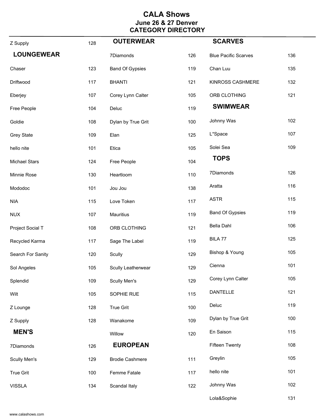| Z Supply             | 128 | <b>OUTERWEAR</b>       |     | <b>SCARVES</b>              |     |
|----------------------|-----|------------------------|-----|-----------------------------|-----|
| <b>LOUNGEWEAR</b>    |     | 7Diamonds              | 126 | <b>Blue Pacific Scarves</b> | 136 |
| Chaser               | 123 | <b>Band Of Gypsies</b> | 119 | Chan Luu                    | 135 |
| Driftwood            | 117 | <b>BHANTI</b>          | 121 | KINROSS CASHMERE            | 132 |
| Eberjey              | 107 | Corey Lynn Calter      | 105 | ORB CLOTHING                | 121 |
| Free People          | 104 | Deluc                  | 119 | <b>SWIMWEAR</b>             |     |
| Goldie               | 108 | Dylan by True Grit     | 100 | Johnny Was                  | 102 |
| <b>Grey State</b>    | 109 | Elan                   | 125 | L*Space                     | 107 |
| hello nite           | 101 | Etica                  | 105 | Solei Sea                   | 109 |
| <b>Michael Stars</b> | 124 | Free People            | 104 | <b>TOPS</b>                 |     |
| Minnie Rose          | 130 | Heartloom              | 110 | 7Diamonds                   | 126 |
| Mododoc              | 101 | Jou Jou                | 138 | Aratta                      | 116 |
| <b>NIA</b>           | 115 | Love Token             | 117 | <b>ASTR</b>                 | 115 |
| <b>NUX</b>           | 107 | Mauritius              | 119 | <b>Band Of Gypsies</b>      | 119 |
| Project Social T     | 108 | ORB CLOTHING           | 121 | Bella Dahl                  | 106 |
| Recycled Karma       | 117 | Sage The Label         | 119 | BILA 77                     | 125 |
| Search For Sanity    | 120 | Scully                 | 129 | Bishop & Young              | 105 |
| Sol Angeles          | 105 | Scully Leatherwear     | 129 | Cienna                      | 101 |
| Splendid             | 109 | Scully Men's           | 129 | Corey Lynn Calter           | 105 |
| Wilt                 | 105 | SOPHIE RUE             | 115 | <b>DANTELLE</b>             | 121 |
| Z Lounge             | 128 | <b>True Grit</b>       | 100 | Deluc                       | 119 |
| Z Supply             | 128 | Wanakome               | 109 | Dylan by True Grit          | 100 |
| <b>MEN'S</b>         |     | Willow                 | 120 | En Saison                   | 115 |
| 7Diamonds            | 126 | <b>EUROPEAN</b>        |     | <b>Fifteen Twenty</b>       | 108 |
| Scully Men's         | 129 | <b>Brodie Cashmere</b> | 111 | Greylin                     | 105 |
| <b>True Grit</b>     | 100 | Femme Fatale           | 117 | hello nite                  | 101 |
| <b>VISSLA</b>        | 134 | Scandal Italy          | 122 | Johnny Was                  | 102 |
|                      |     |                        |     | Lola&Sophie                 | 131 |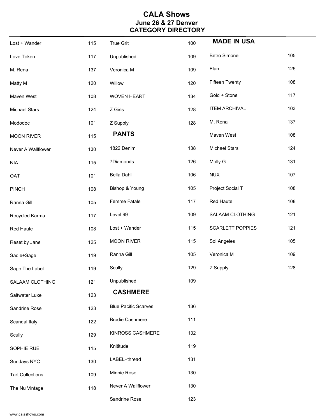| Lost + Wander           | 115 | True Grit                   | 100 | <b>MADE IN USA</b>      |     |
|-------------------------|-----|-----------------------------|-----|-------------------------|-----|
| Love Token              | 117 | Unpublished                 | 109 | Betro Simone            | 105 |
| M. Rena                 | 137 | Veronica M                  | 109 | Elan                    | 125 |
| Matty M                 | 120 | Willow                      | 120 | <b>Fifteen Twenty</b>   | 108 |
| Maven West              | 108 | <b>WOVEN HEART</b>          | 134 | Gold + Stone            | 117 |
| <b>Michael Stars</b>    | 124 | Z Girls                     | 128 | <b>ITEM ARCHIVAL</b>    | 103 |
| Mododoc                 | 101 | Z Supply                    | 128 | M. Rena                 | 137 |
| <b>MOON RIVER</b>       | 115 | <b>PANTS</b>                |     | Maven West              | 108 |
| Never A Wallflower      | 130 | 1822 Denim                  | 138 | <b>Michael Stars</b>    | 124 |
| <b>NIA</b>              | 115 | 7Diamonds                   | 126 | Molly G                 | 131 |
| OAT                     | 101 | Bella Dahl                  | 106 | <b>NUX</b>              | 107 |
| <b>PINCH</b>            | 108 | Bishop & Young              | 105 | Project Social T        | 108 |
| Ranna Gill              | 105 | Femme Fatale                | 117 | Red Haute               | 108 |
| Recycled Karma          | 117 | Level 99                    | 109 | SALAAM CLOTHING         | 121 |
| Red Haute               | 108 | Lost + Wander               | 115 | <b>SCARLETT POPPIES</b> | 121 |
| Reset by Jane           | 125 | <b>MOON RIVER</b>           | 115 | Sol Angeles             | 105 |
| Sadie+Sage              | 119 | Ranna Gill                  | 105 | Veronica M              | 109 |
| Sage The Label          | 119 | Scully                      | 129 | Z Supply                | 128 |
| SALAAM CLOTHING         | 121 | Unpublished                 | 109 |                         |     |
| Saltwater Luxe          | 123 | <b>CASHMERE</b>             |     |                         |     |
| Sandrine Rose           | 123 | <b>Blue Pacific Scarves</b> | 136 |                         |     |
| Scandal Italy           | 122 | <b>Brodie Cashmere</b>      | 111 |                         |     |
| Scully                  | 129 | KINROSS CASHMERE            | 132 |                         |     |
| SOPHIE RUE              | 115 | Knititude                   | 119 |                         |     |
| Sundays NYC             | 130 | LABEL+thread                | 131 |                         |     |
| <b>Tart Collections</b> | 109 | Minnie Rose                 | 130 |                         |     |
| The Nu Vintage          | 118 | Never A Wallflower          | 130 |                         |     |
|                         |     | Sandrine Rose               | 123 |                         |     |